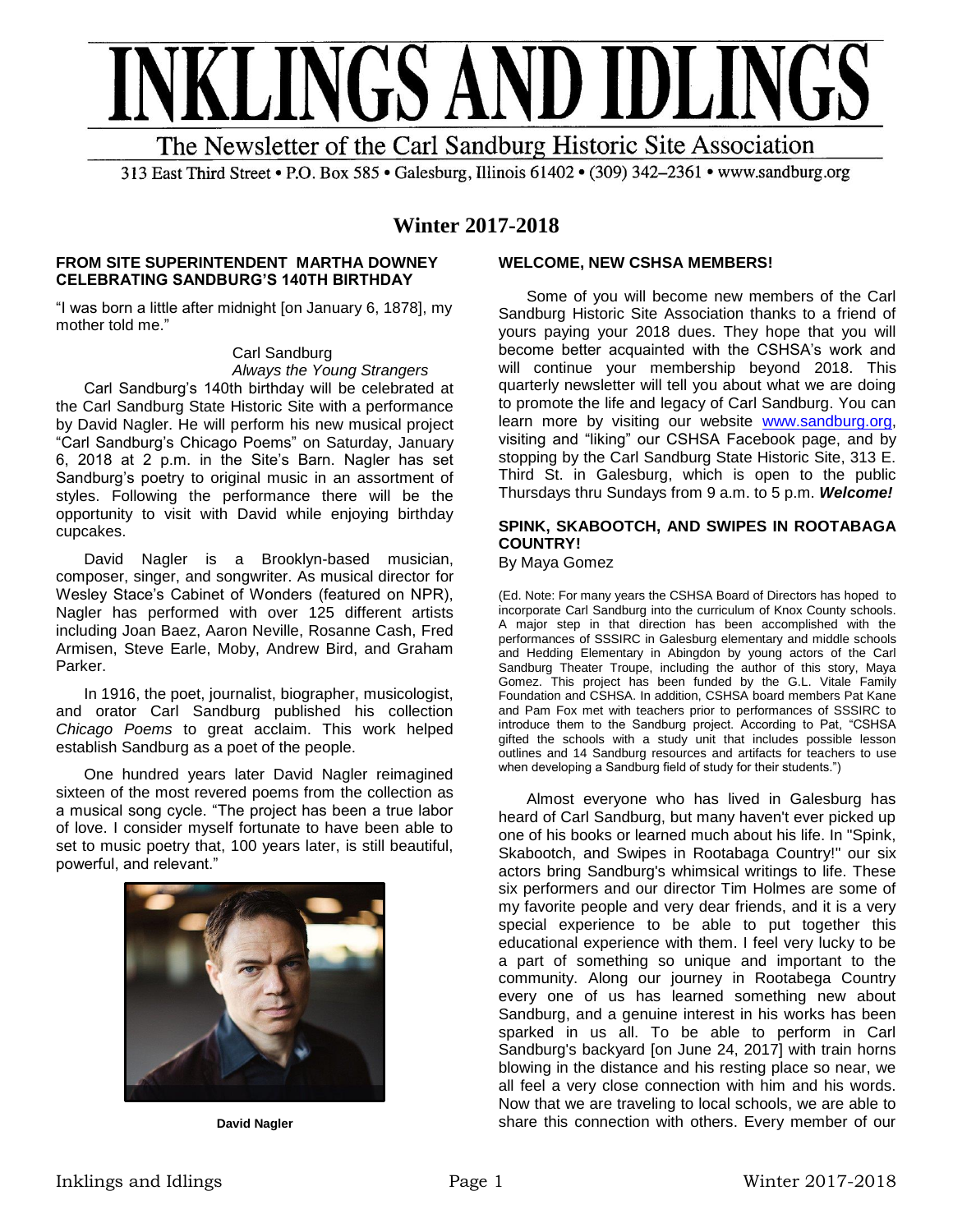

The Newsletter of the Carl Sandburg Historic Site Association

313 East Third Street • P.O. Box 585 • Galesburg, Illinois 61402 • (309) 342-2361 • www.sandburg.org

## **Winter 2017-2018**

### **FROM SITE SUPERINTENDENT MARTHA DOWNEY CELEBRATING SANDBURG'S 140TH BIRTHDAY**

"I was born a little after midnight [on January 6, 1878], my mother told me."

> Carl Sandburg *Always the Young Strangers*

Carl Sandburg's 140th birthday will be celebrated at the Carl Sandburg State Historic Site with a performance by David Nagler. He will perform his new musical project "Carl Sandburg's Chicago Poems" on Saturday, January 6, 2018 at 2 p.m. in the Site's Barn. Nagler has set Sandburg's poetry to original music in an assortment of styles. Following the performance there will be the opportunity to visit with David while enjoying birthday cupcakes.

David Nagler is a Brooklyn-based musician, composer, singer, and songwriter. As musical director for Wesley Stace's Cabinet of Wonders (featured on NPR), Nagler has performed with over 125 different artists including Joan Baez, Aaron Neville, Rosanne Cash, Fred Armisen, Steve Earle, Moby, Andrew Bird, and Graham Parker.

In 1916, the poet, journalist, biographer, musicologist, and orator Carl Sandburg published his collection *Chicago Poems* to great acclaim. This work helped establish Sandburg as a poet of the people.

One hundred years later David Nagler reimagined sixteen of the most revered poems from the collection as a musical song cycle. "The project has been a true labor of love. I consider myself fortunate to have been able to set to music poetry that, 100 years later, is still beautiful, powerful, and relevant."



**David Nagler**

## **WELCOME, NEW CSHSA MEMBERS!**

Some of you will become new members of the Carl Sandburg Historic Site Association thanks to a friend of yours paying your 2018 dues. They hope that you will become better acquainted with the CSHSA's work and will continue your membership beyond 2018. This quarterly newsletter will tell you about what we are doing to promote the life and legacy of Carl Sandburg. You can learn more by visiting our website [www.sandburg.org,](http://www.sandburg.org/) visiting and "liking" our CSHSA Facebook page, and by stopping by the Carl Sandburg State Historic Site, 313 E. Third St. in Galesburg, which is open to the public Thursdays thru Sundays from 9 a.m. to 5 p.m. *Welcome!*

## **SPINK, SKABOOTCH, AND SWIPES IN ROOTABAGA COUNTRY!**

By Maya Gomez

(Ed. Note: For many years the CSHSA Board of Directors has hoped to incorporate Carl Sandburg into the curriculum of Knox County schools. A major step in that direction has been accomplished with the performances of SSSIRC in Galesburg elementary and middle schools and Hedding Elementary in Abingdon by young actors of the Carl Sandburg Theater Troupe, including the author of this story, Maya Gomez. This project has been funded by the G.L. Vitale Family Foundation and CSHSA. In addition, CSHSA board members Pat Kane and Pam Fox met with teachers prior to performances of SSSIRC to introduce them to the Sandburg project. According to Pat, "CSHSA gifted the schools with a study unit that includes possible lesson outlines and 14 Sandburg resources and artifacts for teachers to use when developing a Sandburg field of study for their students.")

Almost everyone who has lived in Galesburg has heard of Carl Sandburg, but many haven't ever picked up one of his books or learned much about his life. In "Spink, Skabootch, and Swipes in Rootabaga Country!" our six actors bring Sandburg's whimsical writings to life. These six performers and our director Tim Holmes are some of my favorite people and very dear friends, and it is a very special experience to be able to put together this educational experience with them. I feel very lucky to be a part of something so unique and important to the community. Along our journey in Rootabega Country every one of us has learned something new about Sandburg, and a genuine interest in his works has been sparked in us all. To be able to perform in Carl Sandburg's backyard [on June 24, 2017] with train horns blowing in the distance and his resting place so near, we all feel a very close connection with him and his words. Now that we are traveling to local schools, we are able to share this connection with others. Every member of our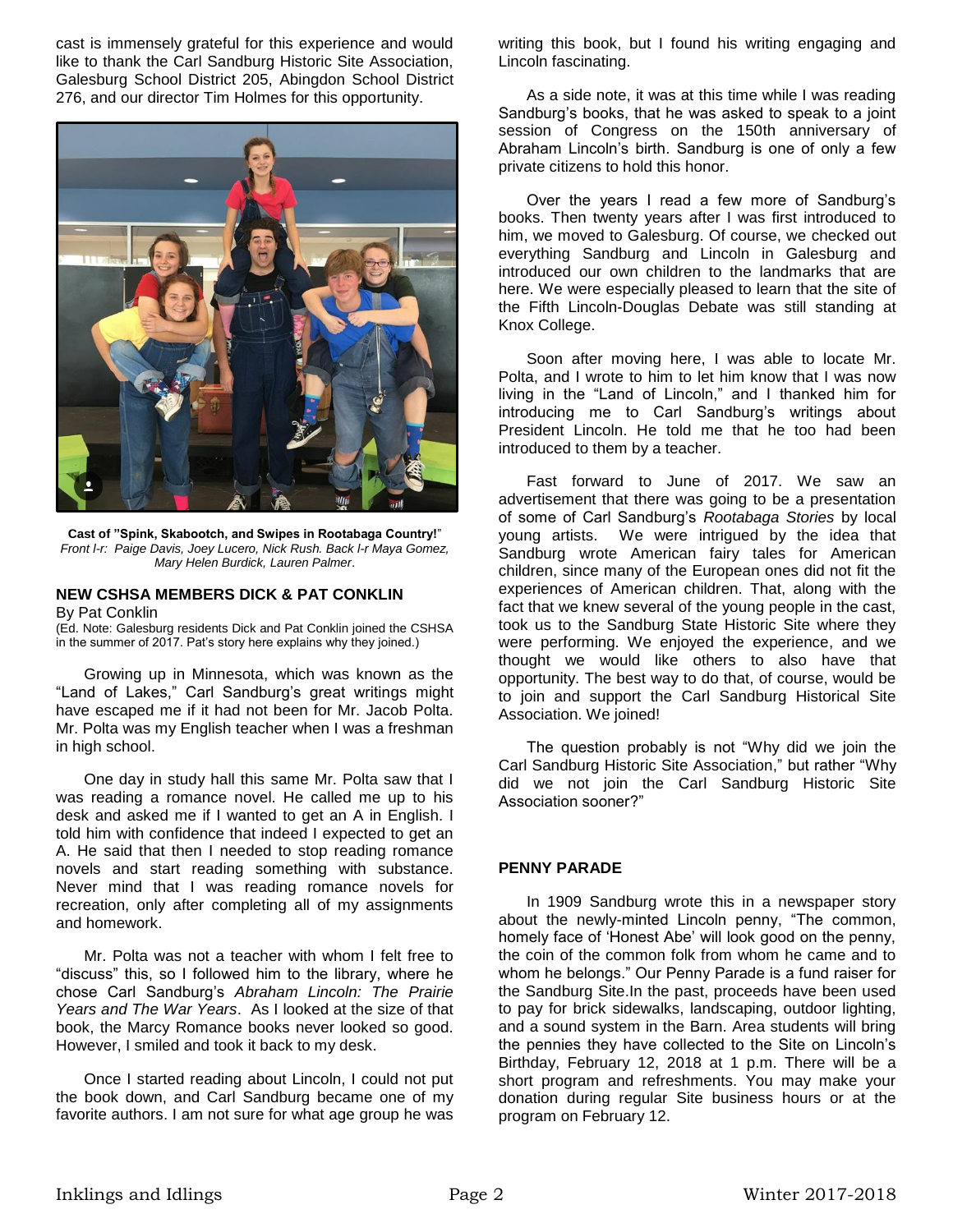cast is immensely grateful for this experience and would like to thank the Carl Sandburg Historic Site Association, Galesburg School District 205, Abingdon School District 276, and our director Tim Holmes for this opportunity.



**Cast of "Spink, Skabootch, and Swipes in Rootabaga Country!**" *Front l-r: Paige Davis, Joey Lucero, Nick Rush. Back l-r Maya Gomez, Mary Helen Burdick, Lauren Palmer*.

## **NEW CSHSA MEMBERS DICK & PAT CONKLIN**

#### By Pat Conklin

(Ed. Note: Galesburg residents Dick and Pat Conklin joined the CSHSA in the summer of 2017. Pat's story here explains why they joined.)

Growing up in Minnesota, which was known as the "Land of Lakes," Carl Sandburg's great writings might have escaped me if it had not been for Mr. Jacob Polta. Mr. Polta was my English teacher when I was a freshman in high school.

One day in study hall this same Mr. Polta saw that I was reading a romance novel. He called me up to his desk and asked me if I wanted to get an A in English. I told him with confidence that indeed I expected to get an A. He said that then I needed to stop reading romance novels and start reading something with substance. Never mind that I was reading romance novels for recreation, only after completing all of my assignments and homework.

Mr. Polta was not a teacher with whom I felt free to "discuss" this, so I followed him to the library, where he chose Carl Sandburg's *Abraham Lincoln: The Prairie Years and The War Years*. As I looked at the size of that book, the Marcy Romance books never looked so good. However, I smiled and took it back to my desk.

Once I started reading about Lincoln, I could not put the book down, and Carl Sandburg became one of my favorite authors. I am not sure for what age group he was

writing this book, but I found his writing engaging and Lincoln fascinating.

As a side note, it was at this time while I was reading Sandburg's books, that he was asked to speak to a joint session of Congress on the 150th anniversary of Abraham Lincoln's birth. Sandburg is one of only a few private citizens to hold this honor.

Over the years I read a few more of Sandburg's books. Then twenty years after I was first introduced to him, we moved to Galesburg. Of course, we checked out everything Sandburg and Lincoln in Galesburg and introduced our own children to the landmarks that are here. We were especially pleased to learn that the site of the Fifth Lincoln-Douglas Debate was still standing at Knox College.

Soon after moving here, I was able to locate Mr. Polta, and I wrote to him to let him know that I was now living in the "Land of Lincoln," and I thanked him for introducing me to Carl Sandburg's writings about President Lincoln. He told me that he too had been introduced to them by a teacher.

Fast forward to June of 2017. We saw an advertisement that there was going to be a presentation of some of Carl Sandburg's *Rootabaga Stories* by local young artists. We were intrigued by the idea that Sandburg wrote American fairy tales for American children, since many of the European ones did not fit the experiences of American children. That, along with the fact that we knew several of the young people in the cast, took us to the Sandburg State Historic Site where they were performing. We enjoyed the experience, and we thought we would like others to also have that opportunity. The best way to do that, of course, would be to join and support the Carl Sandburg Historical Site Association. We joined!

The question probably is not "Why did we join the Carl Sandburg Historic Site Association," but rather "Why did we not join the Carl Sandburg Historic Site Association sooner?"

## **PENNY PARADE**

In 1909 Sandburg wrote this in a newspaper story about the newly-minted Lincoln penny, "The common, homely face of 'Honest Abe' will look good on the penny, the coin of the common folk from whom he came and to whom he belongs." Our Penny Parade is a fund raiser for the Sandburg Site.In the past, proceeds have been used to pay for brick sidewalks, landscaping, outdoor lighting, and a sound system in the Barn. Area students will bring the pennies they have collected to the Site on Lincoln's Birthday, February 12, 2018 at 1 p.m. There will be a short program and refreshments. You may make your donation during regular Site business hours or at the program on February 12.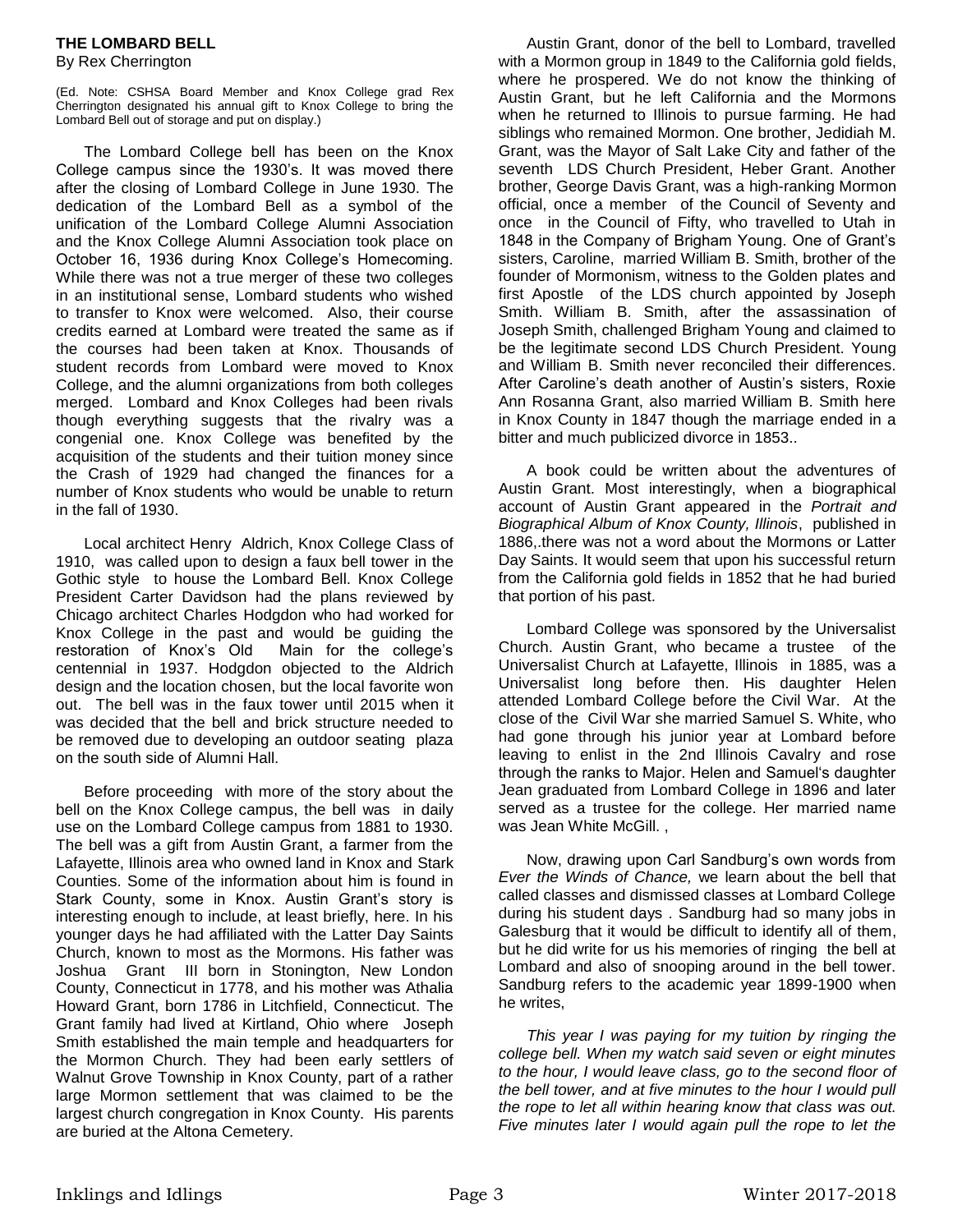## **THE LOMBARD BELL**

### By Rex Cherrington

(Ed. Note: CSHSA Board Member and Knox College grad Rex Cherrington designated his annual gift to Knox College to bring the Lombard Bell out of storage and put on display.)

The Lombard College bell has been on the Knox College campus since the 1930's. It was moved there after the closing of Lombard College in June 1930. The dedication of the Lombard Bell as a symbol of the unification of the Lombard College Alumni Association and the Knox College Alumni Association took place on October 16, 1936 during Knox College's Homecoming. While there was not a true merger of these two colleges in an institutional sense, Lombard students who wished to transfer to Knox were welcomed. Also, their course credits earned at Lombard were treated the same as if the courses had been taken at Knox. Thousands of student records from Lombard were moved to Knox College, and the alumni organizations from both colleges merged. Lombard and Knox Colleges had been rivals though everything suggests that the rivalry was a congenial one. Knox College was benefited by the acquisition of the students and their tuition money since the Crash of 1929 had changed the finances for a number of Knox students who would be unable to return in the fall of 1930.

Local architect Henry Aldrich, Knox College Class of 1910, was called upon to design a faux bell tower in the Gothic style to house the Lombard Bell. Knox College President Carter Davidson had the plans reviewed by Chicago architect Charles Hodgdon who had worked for Knox College in the past and would be guiding the restoration of Knox's Old Main for the college's centennial in 1937. Hodgdon objected to the Aldrich design and the location chosen, but the local favorite won out. The bell was in the faux tower until 2015 when it was decided that the bell and brick structure needed to be removed due to developing an outdoor seating plaza on the south side of Alumni Hall.

Before proceeding with more of the story about the bell on the Knox College campus, the bell was in daily use on the Lombard College campus from 1881 to 1930. The bell was a gift from Austin Grant, a farmer from the Lafayette, Illinois area who owned land in Knox and Stark Counties. Some of the information about him is found in Stark County, some in Knox. Austin Grant's story is interesting enough to include, at least briefly, here. In his younger days he had affiliated with the Latter Day Saints Church, known to most as the Mormons. His father was Joshua Grant III born in Stonington, New London County, Connecticut in 1778, and his mother was Athalia Howard Grant, born 1786 in Litchfield, Connecticut. The Grant family had lived at Kirtland, Ohio where Joseph Smith established the main temple and headquarters for the Mormon Church. They had been early settlers of Walnut Grove Township in Knox County, part of a rather large Mormon settlement that was claimed to be the largest church congregation in Knox County. His parents are buried at the Altona Cemetery.

Austin Grant, donor of the bell to Lombard, travelled with a Mormon group in 1849 to the California gold fields, where he prospered. We do not know the thinking of Austin Grant, but he left California and the Mormons when he returned to Illinois to pursue farming. He had siblings who remained Mormon. One brother, Jedidiah M. Grant, was the Mayor of Salt Lake City and father of the seventh LDS Church President, Heber Grant. Another brother, George Davis Grant, was a high-ranking Mormon official, once a member of the Council of Seventy and once in the Council of Fifty, who travelled to Utah in 1848 in the Company of Brigham Young. One of Grant's sisters, Caroline, married William B. Smith, brother of the founder of Mormonism, witness to the Golden plates and first Apostle of the LDS church appointed by Joseph Smith. William B. Smith, after the assassination of Joseph Smith, challenged Brigham Young and claimed to be the legitimate second LDS Church President. Young and William B. Smith never reconciled their differences. After Caroline's death another of Austin's sisters, Roxie Ann Rosanna Grant, also married William B. Smith here in Knox County in 1847 though the marriage ended in a bitter and much publicized divorce in 1853..

A book could be written about the adventures of Austin Grant. Most interestingly, when a biographical account of Austin Grant appeared in the *Portrait and Biographical Album of Knox County, Illinois*, published in 1886,.there was not a word about the Mormons or Latter Day Saints. It would seem that upon his successful return from the California gold fields in 1852 that he had buried that portion of his past.

Lombard College was sponsored by the Universalist Church. Austin Grant, who became a trustee of the Universalist Church at Lafayette, Illinois in 1885, was a Universalist long before then. His daughter Helen attended Lombard College before the Civil War. At the close of the Civil War she married Samuel S. White, who had gone through his junior year at Lombard before leaving to enlist in the 2nd Illinois Cavalry and rose through the ranks to Major. Helen and Samuel's daughter Jean graduated from Lombard College in 1896 and later served as a trustee for the college. Her married name was Jean White McGill. ,

Now, drawing upon Carl Sandburg's own words from *Ever the Winds of Chance,* we learn about the bell that called classes and dismissed classes at Lombard College during his student days . Sandburg had so many jobs in Galesburg that it would be difficult to identify all of them, but he did write for us his memories of ringing the bell at Lombard and also of snooping around in the bell tower. Sandburg refers to the academic year 1899-1900 when he writes,

*This year I was paying for my tuition by ringing the college bell. When my watch said seven or eight minutes to the hour, I would leave class, go to the second floor of the bell tower, and at five minutes to the hour I would pull the rope to let all within hearing know that class was out. Five minutes later I would again pull the rope to let the*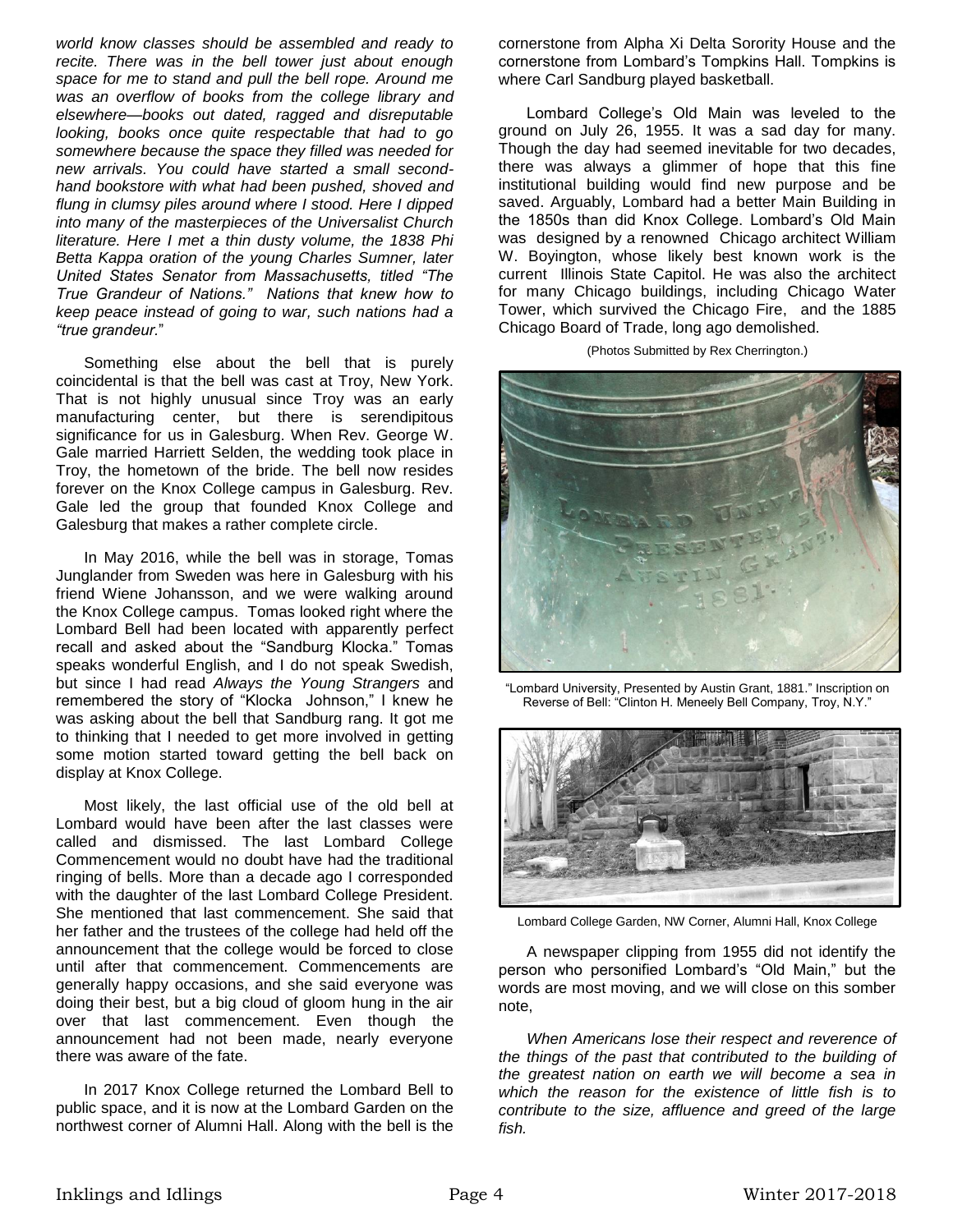*world know classes should be assembled and ready to recite. There was in the bell tower just about enough space for me to stand and pull the bell rope. Around me was an overflow of books from the college library and elsewhere—books out dated, ragged and disreputable looking, books once quite respectable that had to go somewhere because the space they filled was needed for new arrivals. You could have started a small secondhand bookstore with what had been pushed, shoved and flung in clumsy piles around where I stood. Here I dipped into many of the masterpieces of the Universalist Church literature. Here I met a thin dusty volume, the 1838 Phi Betta Kappa oration of the young Charles Sumner, later United States Senator from Massachusetts, titled "The True Grandeur of Nations." Nations that knew how to keep peace instead of going to war, such nations had a "true grandeur.*"

Something else about the bell that is purely coincidental is that the bell was cast at Troy, New York. That is not highly unusual since Troy was an early manufacturing center, but there is serendipitous significance for us in Galesburg. When Rev. George W. Gale married Harriett Selden, the wedding took place in Troy, the hometown of the bride. The bell now resides forever on the Knox College campus in Galesburg. Rev. Gale led the group that founded Knox College and Galesburg that makes a rather complete circle.

In May 2016, while the bell was in storage, Tomas Junglander from Sweden was here in Galesburg with his friend Wiene Johansson, and we were walking around the Knox College campus. Tomas looked right where the Lombard Bell had been located with apparently perfect recall and asked about the "Sandburg Klocka." Tomas speaks wonderful English, and I do not speak Swedish, but since I had read *Always the Young Strangers* and remembered the story of "Klocka Johnson," I knew he was asking about the bell that Sandburg rang. It got me to thinking that I needed to get more involved in getting some motion started toward getting the bell back on display at Knox College.

Most likely, the last official use of the old bell at Lombard would have been after the last classes were called and dismissed. The last Lombard College Commencement would no doubt have had the traditional ringing of bells. More than a decade ago I corresponded with the daughter of the last Lombard College President. She mentioned that last commencement. She said that her father and the trustees of the college had held off the announcement that the college would be forced to close until after that commencement. Commencements are generally happy occasions, and she said everyone was doing their best, but a big cloud of gloom hung in the air over that last commencement. Even though the announcement had not been made, nearly everyone there was aware of the fate.

In 2017 Knox College returned the Lombard Bell to public space, and it is now at the Lombard Garden on the northwest corner of Alumni Hall. Along with the bell is the

cornerstone from Alpha Xi Delta Sorority House and the cornerstone from Lombard's Tompkins Hall. Tompkins is where Carl Sandburg played basketball.

Lombard College's Old Main was leveled to the ground on July 26, 1955. It was a sad day for many. Though the day had seemed inevitable for two decades, there was always a glimmer of hope that this fine institutional building would find new purpose and be saved. Arguably, Lombard had a better Main Building in the 1850s than did Knox College. Lombard's Old Main was designed by a renowned Chicago architect William W. Boyington, whose likely best known work is the current Illinois State Capitol. He was also the architect for many Chicago buildings, including Chicago Water Tower, which survived the Chicago Fire, and the 1885 Chicago Board of Trade, long ago demolished.

(Photos Submitted by Rex Cherrington.)



"Lombard University, Presented by Austin Grant, 1881." Inscription on Reverse of Bell: "Clinton H. Meneely Bell Company, Troy, N.Y."



Lombard College Garden, NW Corner, Alumni Hall, Knox College

A newspaper clipping from 1955 did not identify the person who personified Lombard's "Old Main," but the words are most moving, and we will close on this somber note,

*When Americans lose their respect and reverence of the things of the past that contributed to the building of the greatest nation on earth we will become a sea in which the reason for the existence of little fish is to contribute to the size, affluence and greed of the large fish.*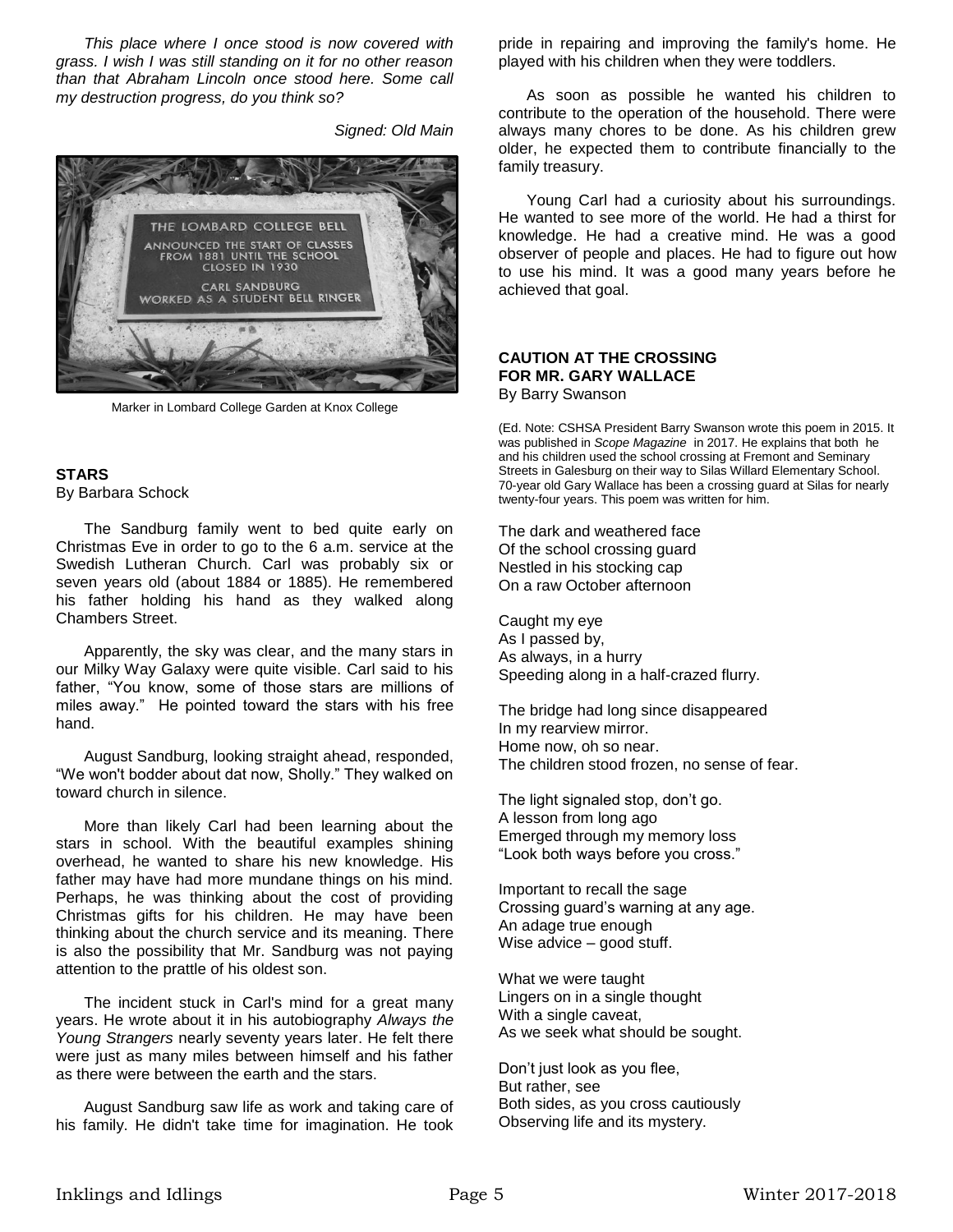*This place where I once stood is now covered with grass. I wish I was still standing on it for no other reason than that Abraham Lincoln once stood here. Some call my destruction progress, do you think so?* 

*Signed: Old Main*



Marker in Lombard College Garden at Knox College

# **STARS**

By Barbara Schock

The Sandburg family went to bed quite early on Christmas Eve in order to go to the 6 a.m. service at the Swedish Lutheran Church. Carl was probably six or seven years old (about 1884 or 1885). He remembered his father holding his hand as they walked along Chambers Street.

Apparently, the sky was clear, and the many stars in our Milky Way Galaxy were quite visible. Carl said to his father, "You know, some of those stars are millions of miles away." He pointed toward the stars with his free hand.

August Sandburg, looking straight ahead, responded, "We won't bodder about dat now, Sholly." They walked on toward church in silence.

More than likely Carl had been learning about the stars in school. With the beautiful examples shining overhead, he wanted to share his new knowledge. His father may have had more mundane things on his mind. Perhaps, he was thinking about the cost of providing Christmas gifts for his children. He may have been thinking about the church service and its meaning. There is also the possibility that Mr. Sandburg was not paying attention to the prattle of his oldest son.

The incident stuck in Carl's mind for a great many years. He wrote about it in his autobiography *Always the Young Strangers* nearly seventy years later. He felt there were just as many miles between himself and his father as there were between the earth and the stars.

August Sandburg saw life as work and taking care of his family. He didn't take time for imagination. He took

pride in repairing and improving the family's home. He played with his children when they were toddlers.

As soon as possible he wanted his children to contribute to the operation of the household. There were always many chores to be done. As his children grew older, he expected them to contribute financially to the family treasury.

Young Carl had a curiosity about his surroundings. He wanted to see more of the world. He had a thirst for knowledge. He had a creative mind. He was a good observer of people and places. He had to figure out how to use his mind. It was a good many years before he achieved that goal.

## **CAUTION AT THE CROSSING FOR MR. GARY WALLACE**

By Barry Swanson

(Ed. Note: CSHSA President Barry Swanson wrote this poem in 2015. It was published in *Scope Magazine* in 2017. He explains that both he and his children used the school crossing at Fremont and Seminary Streets in Galesburg on their way to Silas Willard Elementary School. 70-year old Gary Wallace has been a crossing guard at Silas for nearly twenty-four years. This poem was written for him.

The dark and weathered face Of the school crossing guard Nestled in his stocking cap On a raw October afternoon

Caught my eye As I passed by, As always, in a hurry Speeding along in a half-crazed flurry.

The bridge had long since disappeared In my rearview mirror. Home now, oh so near. The children stood frozen, no sense of fear.

The light signaled stop, don't go. A lesson from long ago Emerged through my memory loss "Look both ways before you cross."

Important to recall the sage Crossing guard's warning at any age. An adage true enough Wise advice – good stuff.

What we were taught Lingers on in a single thought With a single caveat, As we seek what should be sought.

Don't just look as you flee, But rather, see Both sides, as you cross cautiously Observing life and its mystery.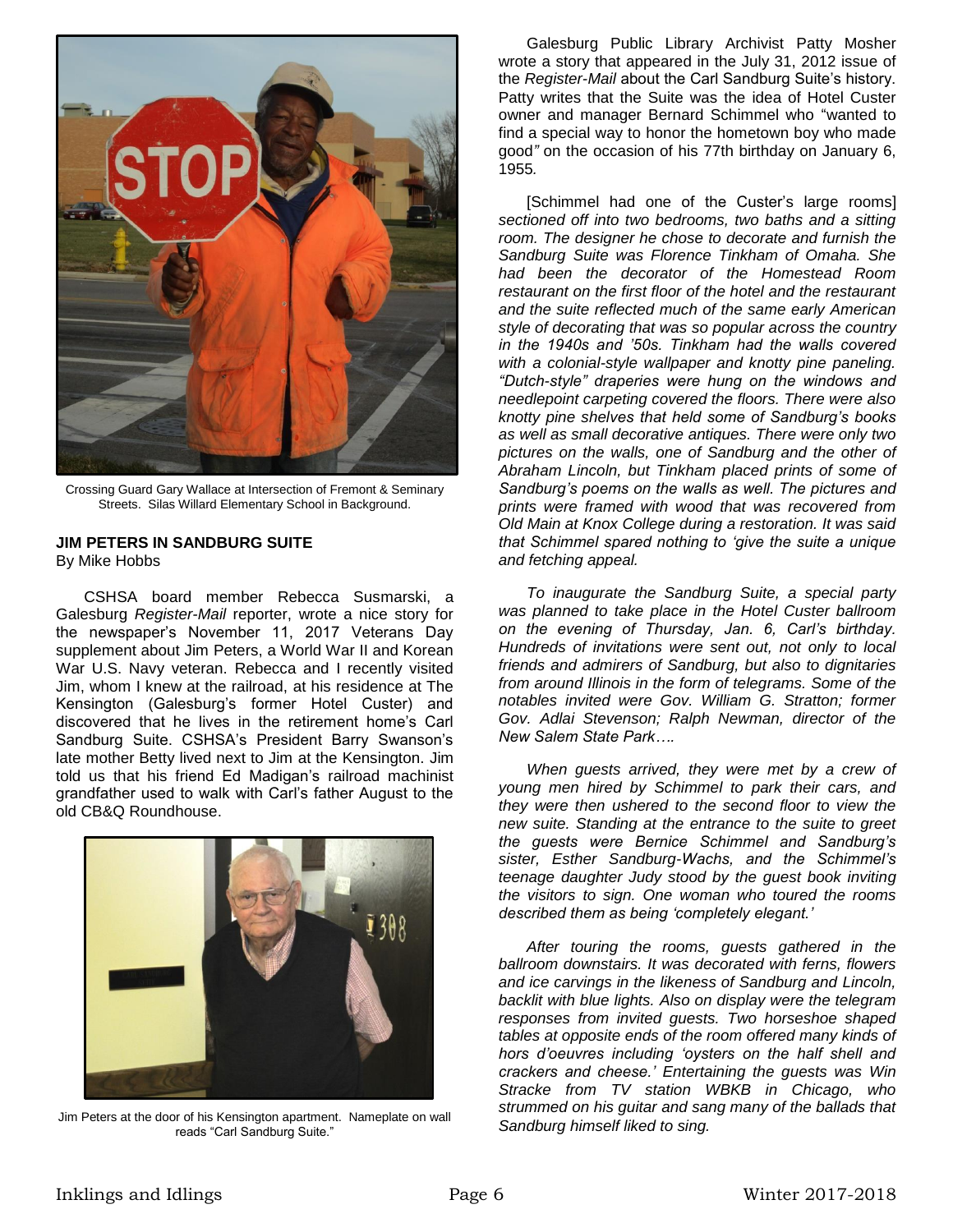

Crossing Guard Gary Wallace at Intersection of Fremont & Seminary Streets. Silas Willard Elementary School in Background.

### **JIM PETERS IN SANDBURG SUITE**

By Mike Hobbs

CSHSA board member Rebecca Susmarski, a Galesburg *Register-Mail* reporter, wrote a nice story for the newspaper's November 11, 2017 Veterans Day supplement about Jim Peters, a World War II and Korean War U.S. Navy veteran. Rebecca and I recently visited Jim, whom I knew at the railroad, at his residence at The Kensington (Galesburg's former Hotel Custer) and discovered that he lives in the retirement home's Carl Sandburg Suite. CSHSA's President Barry Swanson's late mother Betty lived next to Jim at the Kensington. Jim told us that his friend Ed Madigan's railroad machinist grandfather used to walk with Carl's father August to the old CB&Q Roundhouse.



Jim Peters at the door of his Kensington apartment. Nameplate on wall reads "Carl Sandburg Suite."

Galesburg Public Library Archivist Patty Mosher wrote a story that appeared in the July 31, 2012 issue of the *Register-Mail* about the Carl Sandburg Suite's history. Patty writes that the Suite was the idea of Hotel Custer owner and manager Bernard Schimmel who "wanted to find a special way to honor the hometown boy who made good*"* on the occasion of his 77th birthday on January 6, 1955*.* 

[Schimmel had one of the Custer's large rooms] *sectioned off into two bedrooms, two baths and a sitting room. The designer he chose to decorate and furnish the Sandburg Suite was Florence Tinkham of Omaha. She had been the decorator of the Homestead Room restaurant on the first floor of the hotel and the restaurant and the suite reflected much of the same early American style of decorating that was so popular across the country in the 1940s and '50s. Tinkham had the walls covered with a colonial-style wallpaper and knotty pine paneling. "Dutch-style" draperies were hung on the windows and needlepoint carpeting covered the floors. There were also knotty pine shelves that held some of Sandburg's books as well as small decorative antiques. There were only two pictures on the walls, one of Sandburg and the other of Abraham Lincoln, but Tinkham placed prints of some of Sandburg's poems on the walls as well. The pictures and prints were framed with wood that was recovered from Old Main at Knox College during a restoration. It was said that Schimmel spared nothing to 'give the suite a unique and fetching appeal.*

*To inaugurate the Sandburg Suite, a special party was planned to take place in the Hotel Custer ballroom on the evening of Thursday, Jan. 6, Carl's birthday. Hundreds of invitations were sent out, not only to local friends and admirers of Sandburg, but also to dignitaries from around Illinois in the form of telegrams. Some of the notables invited were Gov. William G. Stratton; former Gov. Adlai Stevenson; Ralph Newman, director of the New Salem State Park….*

*When guests arrived, they were met by a crew of young men hired by Schimmel to park their cars, and they were then ushered to the second floor to view the new suite. Standing at the entrance to the suite to greet the guests were Bernice Schimmel and Sandburg's sister, Esther Sandburg-Wachs, and the Schimmel's teenage daughter Judy stood by the guest book inviting the visitors to sign. One woman who toured the rooms described them as being 'completely elegant.'*

*After touring the rooms, guests gathered in the ballroom downstairs. It was decorated with ferns, flowers and ice carvings in the likeness of Sandburg and Lincoln, backlit with blue lights. Also on display were the telegram responses from invited guests. Two horseshoe shaped tables at opposite ends of the room offered many kinds of hors d'oeuvres including 'oysters on the half shell and crackers and cheese.' Entertaining the guests was Win Stracke from TV station WBKB in Chicago, who strummed on his guitar and sang many of the ballads that Sandburg himself liked to sing.*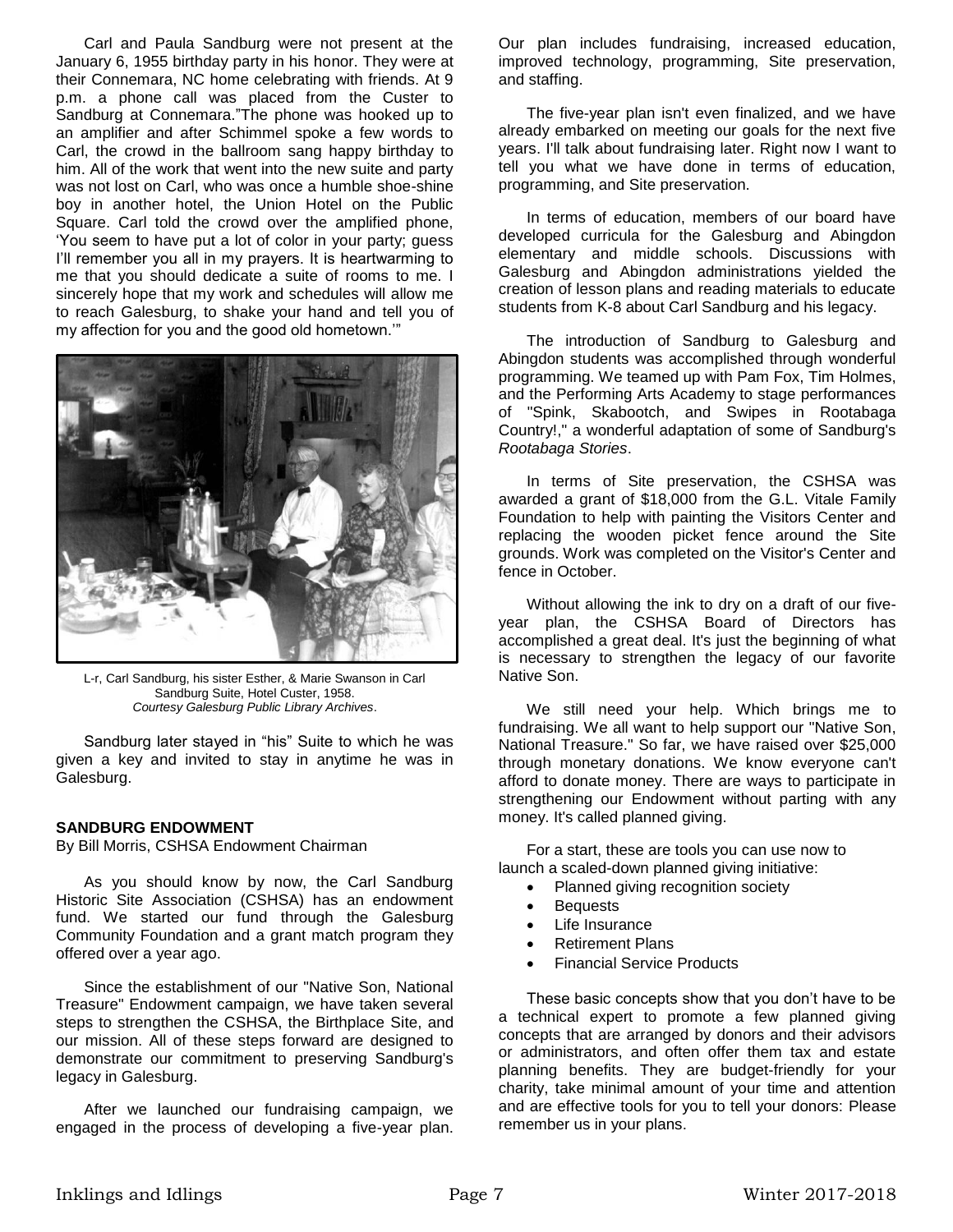Carl and Paula Sandburg were not present at the January 6, 1955 birthday party in his honor. They were at their Connemara, NC home celebrating with friends. At 9 p.m. a phone call was placed from the Custer to Sandburg at Connemara."The phone was hooked up to an amplifier and after Schimmel spoke a few words to Carl, the crowd in the ballroom sang happy birthday to him. All of the work that went into the new suite and party was not lost on Carl, who was once a humble shoe-shine boy in another hotel, the Union Hotel on the Public Square. Carl told the crowd over the amplified phone, 'You seem to have put a lot of color in your party; guess I'll remember you all in my prayers. It is heartwarming to me that you should dedicate a suite of rooms to me. I sincerely hope that my work and schedules will allow me to reach Galesburg, to shake your hand and tell you of my affection for you and the good old hometown.'"



L-r, Carl Sandburg, his sister Esther, & Marie Swanson in Carl Sandburg Suite, Hotel Custer, 1958. *Courtesy Galesburg Public Library Archives*.

Sandburg later stayed in "his" Suite to which he was given a key and invited to stay in anytime he was in Galesburg.

#### **SANDBURG ENDOWMENT**

By Bill Morris, CSHSA Endowment Chairman

As you should know by now, the Carl Sandburg Historic Site Association (CSHSA) has an endowment fund. We started our fund through the Galesburg Community Foundation and a grant match program they offered over a year ago.

Since the establishment of our "Native Son, National Treasure" Endowment campaign, we have taken several steps to strengthen the CSHSA, the Birthplace Site, and our mission. All of these steps forward are designed to demonstrate our commitment to preserving Sandburg's legacy in Galesburg.

After we launched our fundraising campaign, we engaged in the process of developing a five-year plan. Our plan includes fundraising, increased education, improved technology, programming, Site preservation, and staffing.

The five-year plan isn't even finalized, and we have already embarked on meeting our goals for the next five years. I'll talk about fundraising later. Right now I want to tell you what we have done in terms of education, programming, and Site preservation.

In terms of education, members of our board have developed curricula for the Galesburg and Abingdon elementary and middle schools. Discussions with Galesburg and Abingdon administrations yielded the creation of lesson plans and reading materials to educate students from K-8 about Carl Sandburg and his legacy.

The introduction of Sandburg to Galesburg and Abingdon students was accomplished through wonderful programming. We teamed up with Pam Fox, Tim Holmes, and the Performing Arts Academy to stage performances of "Spink, Skabootch, and Swipes in Rootabaga Country!," a wonderful adaptation of some of Sandburg's *Rootabaga Stories*.

In terms of Site preservation, the CSHSA was awarded a grant of \$18,000 from the G.L. Vitale Family Foundation to help with painting the Visitors Center and replacing the wooden picket fence around the Site grounds. Work was completed on the Visitor's Center and fence in October.

Without allowing the ink to dry on a draft of our fiveyear plan, the CSHSA Board of Directors has accomplished a great deal. It's just the beginning of what is necessary to strengthen the legacy of our favorite Native Son.

We still need your help. Which brings me to fundraising. We all want to help support our "Native Son, National Treasure." So far, we have raised over \$25,000 through monetary donations. We know everyone can't afford to donate money. There are ways to participate in strengthening our Endowment without parting with any money. It's called planned giving.

For a start, these are tools you can use now to launch a scaled-down planned giving initiative:

- Planned giving recognition society
- Bequests
- Life Insurance
- Retirement Plans
- Financial Service Products

These basic concepts show that you don't have to be a technical expert to promote a few planned giving concepts that are arranged by donors and their advisors or administrators, and often offer them tax and estate planning benefits. They are budget-friendly for your charity, take minimal amount of your time and attention and are effective tools for you to tell your donors: Please remember us in your plans.